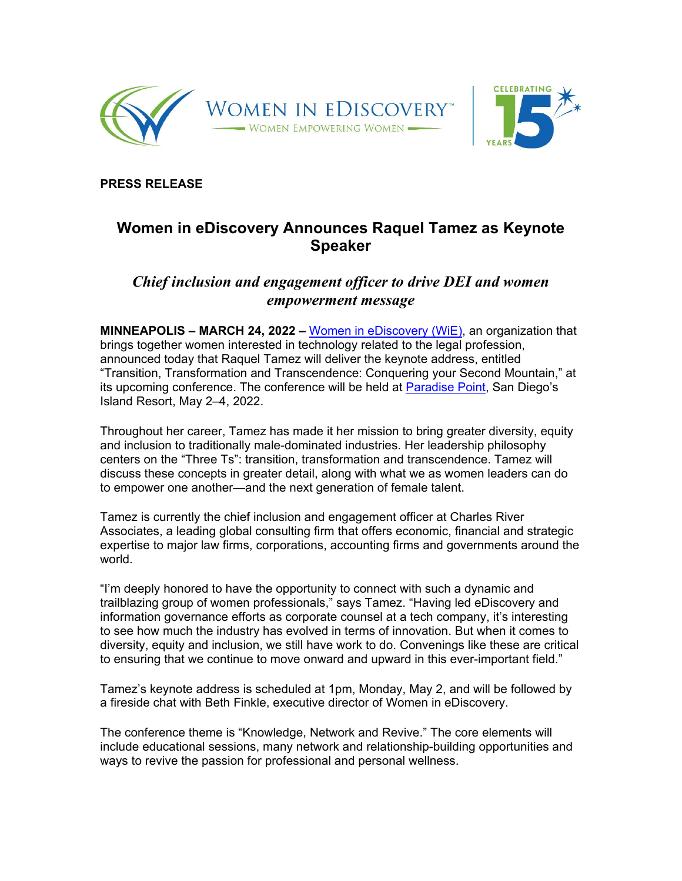



**PRESS RELEASE** 

## **Women in eDiscovery Announces Raquel Tamez as Keynote Speaker**

## *Chief inclusion and engagement officer to drive DEI and women empowerment message*

**MINNEAPOLIS – MARCH 24, 2022 –** Women in eDiscovery (WiE), an organization that brings together women interested in technology related to the legal profession, announced today that Raquel Tamez will deliver the keynote address, entitled "Transition, Transformation and Transcendence: Conquering your Second Mountain," at its upcoming conference. The conference will be held at Paradise Point, San Diego's Island Resort, May 2–4, 2022.

Throughout her career, Tamez has made it her mission to bring greater diversity, equity and inclusion to traditionally male-dominated industries. Her leadership philosophy centers on the "Three Ts": transition, transformation and transcendence. Tamez will discuss these concepts in greater detail, along with what we as women leaders can do to empower one another—and the next generation of female talent.

Tamez is currently the chief inclusion and engagement officer at Charles River Associates, a leading global consulting firm that offers economic, financial and strategic expertise to major law firms, corporations, accounting firms and governments around the world.

"I'm deeply honored to have the opportunity to connect with such a dynamic and trailblazing group of women professionals," says Tamez. "Having led eDiscovery and information governance efforts as corporate counsel at a tech company, it's interesting to see how much the industry has evolved in terms of innovation. But when it comes to diversity, equity and inclusion, we still have work to do. Convenings like these are critical to ensuring that we continue to move onward and upward in this ever-important field."

Tamez's keynote address is scheduled at 1pm, Monday, May 2, and will be followed by a fireside chat with Beth Finkle, executive director of Women in eDiscovery.

The conference theme is "Knowledge, Network and Revive." The core elements will include educational sessions, many network and relationship-building opportunities and ways to revive the passion for professional and personal wellness.